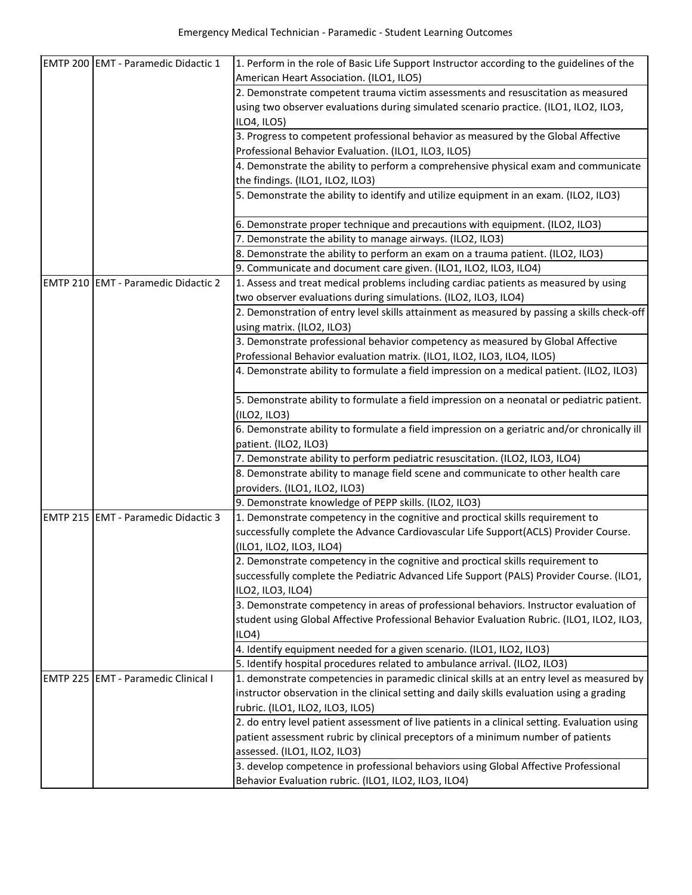|                 | EMTP 200 EMT - Paramedic Didactic 1 | 1. Perform in the role of Basic Life Support Instructor according to the guidelines of the    |
|-----------------|-------------------------------------|-----------------------------------------------------------------------------------------------|
|                 |                                     | American Heart Association. (ILO1, ILO5)                                                      |
|                 |                                     | 2. Demonstrate competent trauma victim assessments and resuscitation as measured              |
|                 |                                     | using two observer evaluations during simulated scenario practice. (ILO1, ILO2, ILO3,         |
|                 |                                     | ILO4, ILO5)                                                                                   |
|                 |                                     | 3. Progress to competent professional behavior as measured by the Global Affective            |
|                 |                                     | Professional Behavior Evaluation. (ILO1, ILO3, ILO5)                                          |
|                 |                                     | 4. Demonstrate the ability to perform a comprehensive physical exam and communicate           |
|                 |                                     | the findings. (ILO1, ILO2, ILO3)                                                              |
|                 |                                     | 5. Demonstrate the ability to identify and utilize equipment in an exam. (ILO2, ILO3)         |
|                 |                                     | 6. Demonstrate proper technique and precautions with equipment. (ILO2, ILO3)                  |
|                 |                                     | 7. Demonstrate the ability to manage airways. (ILO2, ILO3)                                    |
|                 |                                     | 8. Demonstrate the ability to perform an exam on a trauma patient. (ILO2, ILO3)               |
|                 |                                     | 9. Communicate and document care given. (ILO1, ILO2, ILO3, ILO4)                              |
|                 | EMTP 210 EMT - Paramedic Didactic 2 | 1. Assess and treat medical problems including cardiac patients as measured by using          |
|                 |                                     | two observer evaluations during simulations. (ILO2, ILO3, ILO4)                               |
|                 |                                     | 2. Demonstration of entry level skills attainment as measured by passing a skills check-off   |
|                 |                                     | using matrix. (ILO2, ILO3)                                                                    |
|                 |                                     | 3. Demonstrate professional behavior competency as measured by Global Affective               |
|                 |                                     | Professional Behavior evaluation matrix. (ILO1, ILO2, ILO3, ILO4, ILO5)                       |
|                 |                                     | 4. Demonstrate ability to formulate a field impression on a medical patient. (ILO2, ILO3)     |
|                 |                                     |                                                                                               |
|                 |                                     | 5. Demonstrate ability to formulate a field impression on a neonatal or pediatric patient.    |
|                 |                                     | (ILO2, ILO3)                                                                                  |
|                 |                                     | 6. Demonstrate ability to formulate a field impression on a geriatric and/or chronically ill  |
|                 |                                     | patient. (ILO2, ILO3)                                                                         |
|                 |                                     | 7. Demonstrate ability to perform pediatric resuscitation. (ILO2, ILO3, ILO4)                 |
|                 |                                     | 8. Demonstrate ability to manage field scene and communicate to other health care             |
|                 |                                     | providers. (ILO1, ILO2, ILO3)                                                                 |
|                 |                                     | 9. Demonstrate knowledge of PEPP skills. (ILO2, ILO3)                                         |
|                 | EMTP 215 EMT - Paramedic Didactic 3 | 1. Demonstrate competency in the cognitive and proctical skills requirement to                |
|                 |                                     | successfully complete the Advance Cardiovascular Life Support(ACLS) Provider Course.          |
|                 |                                     | (ILO1, ILO2, ILO3, ILO4)                                                                      |
|                 |                                     | 2. Demonstrate competency in the cognitive and proctical skills requirement to                |
|                 |                                     | successfully complete the Pediatric Advanced Life Support (PALS) Provider Course. (ILO1,      |
|                 |                                     | ILO2, ILO3, ILO4)                                                                             |
|                 |                                     | 3. Demonstrate competency in areas of professional behaviors. Instructor evaluation of        |
|                 |                                     | student using Global Affective Professional Behavior Evaluation Rubric. (ILO1, ILO2, ILO3,    |
|                 |                                     | ILO4                                                                                          |
|                 |                                     | 4. Identify equipment needed for a given scenario. (ILO1, ILO2, ILO3)                         |
|                 |                                     | 5. Identify hospital procedures related to ambulance arrival. (ILO2, ILO3)                    |
| <b>EMTP 225</b> | <b>EMT</b> - Paramedic Clinical I   | 1. demonstrate competencies in paramedic clinical skills at an entry level as measured by     |
|                 |                                     | instructor observation in the clinical setting and daily skills evaluation using a grading    |
|                 |                                     | rubric. (ILO1, ILO2, ILO3, ILO5)                                                              |
|                 |                                     | 2. do entry level patient assessment of live patients in a clinical setting. Evaluation using |
|                 |                                     | patient assessment rubric by clinical preceptors of a minimum number of patients              |
|                 |                                     | assessed. (ILO1, ILO2, ILO3)                                                                  |
|                 |                                     | 3. develop competence in professional behaviors using Global Affective Professional           |
|                 |                                     | Behavior Evaluation rubric. (ILO1, ILO2, ILO3, ILO4)                                          |